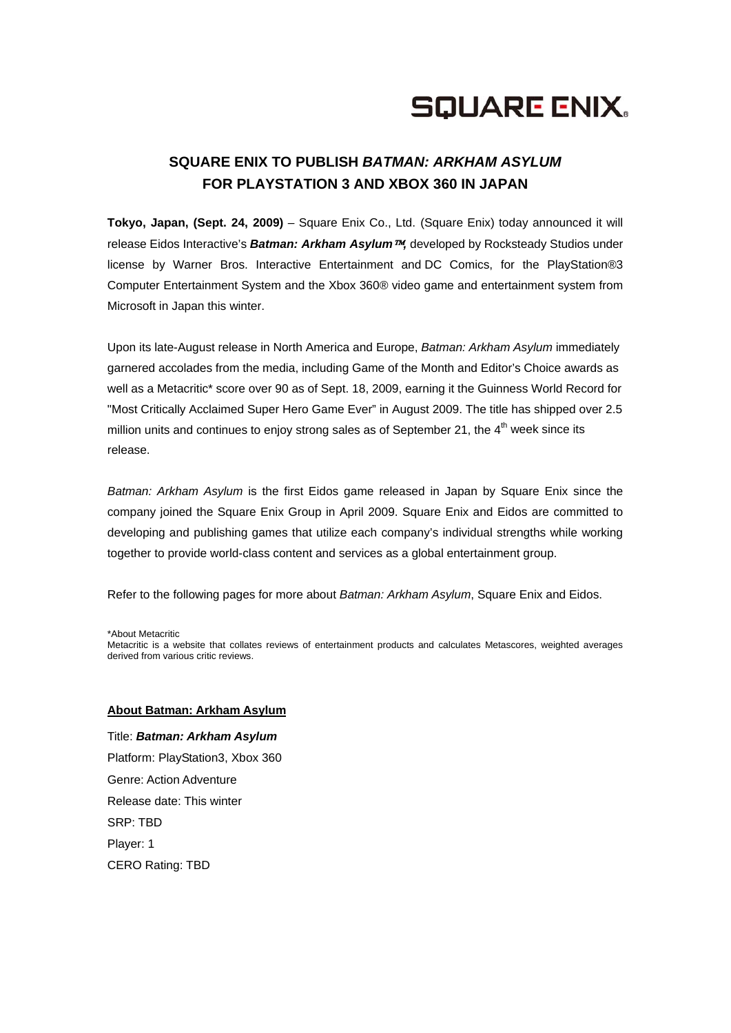# **SQUARE ENIX.**

## **SQUARE ENIX TO PUBLISH** *BATMAN: ARKHAM ASYLUM* **FOR PLAYSTATION 3 AND XBOX 360 IN JAPAN**

**Tokyo, Japan, (Sept. 24, 2009)** – Square Enix Co., Ltd. (Square Enix) today announced it will release Eidos Interactive's *Batman: Arkham Asylum*™*,* developed by Rocksteady Studios under license by Warner Bros. Interactive Entertainment and DC Comics, for the PlayStation®3 Computer Entertainment System and the Xbox 360® video game and entertainment system from Microsoft in Japan this winter.

Upon its late-August release in North America and Europe, *Batman: Arkham Asylum* immediately garnered accolades from the media, including Game of the Month and Editor's Choice awards as well as a Metacritic\* score over 90 as of Sept. 18, 2009, earning it the Guinness World Record for "Most Critically Acclaimed Super Hero Game Ever" in August 2009. The title has shipped over 2.5 million units and continues to enjoy strong sales as of September 21, the  $4<sup>th</sup>$  week since its release.

*Batman: Arkham Asylum* is the first Eidos game released in Japan by Square Enix since the company joined the Square Enix Group in April 2009. Square Enix and Eidos are committed to developing and publishing games that utilize each company's individual strengths while working together to provide world-class content and services as a global entertainment group.

Refer to the following pages for more about *Batman: Arkham Asylum*, Square Enix and Eidos.

\*About Metacritic

Metacritic is a website that collates reviews of entertainment products and calculates Metascores, weighted averages derived from various critic reviews.

### **About Batman: Arkham Asylum**

Title: *Batman: Arkham Asylum* Platform: PlayStation3, Xbox 360 Genre: Action Adventure Release date: This winter SRP: TBD Player: 1 CERO Rating: TBD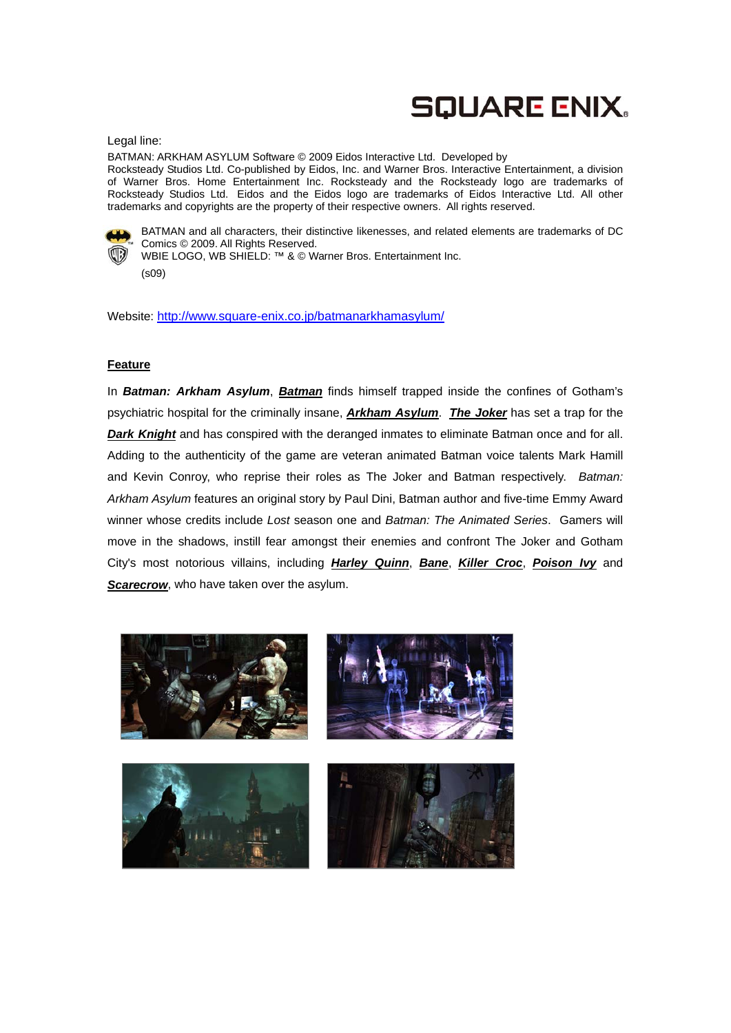# **SQUARE ENIX.**

#### Legal line:

BATMAN: ARKHAM ASYLUM Software © 2009 Eidos Interactive Ltd. Developed by Rocksteady Studios Ltd. Co-published by Eidos, Inc. and Warner Bros. Interactive Entertainment, a division of Warner Bros. Home Entertainment Inc. Rocksteady and the Rocksteady logo are trademarks of Rocksteady Studios Ltd. Eidos and the Eidos logo are trademarks of Eidos Interactive Ltd. All other trademarks and copyrights are the property of their respective owners. All rights reserved.



BATMAN and all characters, their distinctive likenesses, and related elements are trademarks of DC Comics © 2009. All Rights Reserved.

WBIE LOGO, WB SHIELD: ™ & © Warner Bros. Entertainment Inc. (s09)

Website: http://www.square-enix.co.jp/batmanarkhamasylum/

### **Feature**

In *Batman: Arkham Asylum*, *Batman* finds himself trapped inside the confines of Gotham's psychiatric hospital for the criminally insane, *Arkham Asylum*. *The Joker* has set a trap for the **Dark Knight** and has conspired with the deranged inmates to eliminate Batman once and for all. Adding to the authenticity of the game are veteran animated Batman voice talents Mark Hamill and Kevin Conroy, who reprise their roles as The Joker and Batman respectively. *Batman: Arkham Asylum* features an original story by Paul Dini, Batman author and five-time Emmy Award winner whose credits include *Lost* season one and *Batman: The Animated Series*. Gamers will move in the shadows, instill fear amongst their enemies and confront The Joker and Gotham City's most notorious villains, including *Harley Quinn*, *Bane*, *Killer Croc*, *Poison Ivy* and **Scarecrow**, who have taken over the asylum.